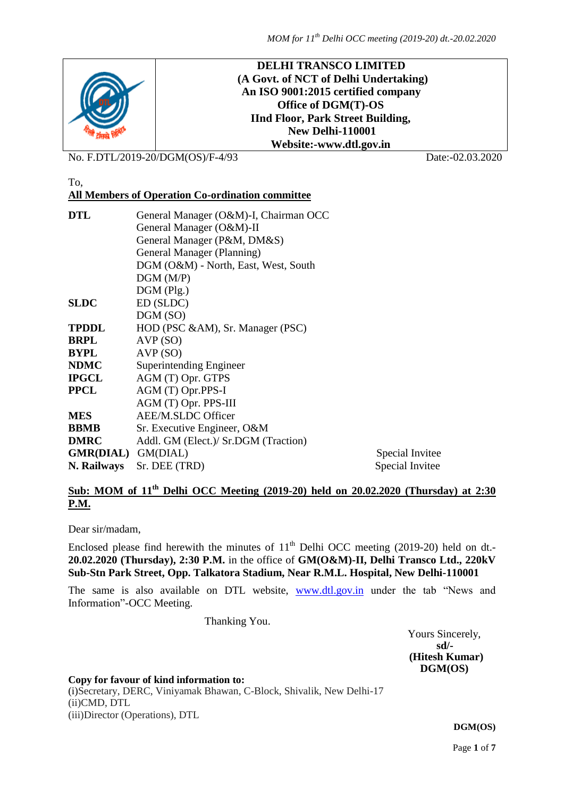

No. F.DTL/2019-20/DGM(OS)/F-4/93 Date:-02.03.2020

#### To,

### **All Members of Operation Co-ordination committee**

| <b>DTL</b>                | General Manager (O&M)-I, Chairman OCC<br>General Manager (O&M)-II<br>General Manager (P&M, DM&S)<br>General Manager (Planning)<br>DGM (O&M) - North, East, West, South |                 |  |  |  |
|---------------------------|------------------------------------------------------------------------------------------------------------------------------------------------------------------------|-----------------|--|--|--|
|                           | DGM(M/P)                                                                                                                                                               |                 |  |  |  |
|                           | $DGM$ (Plg.)                                                                                                                                                           |                 |  |  |  |
| <b>SLDC</b>               | ED (SLDC)<br>DGM (SO)                                                                                                                                                  |                 |  |  |  |
| <b>TPDDL</b>              | HOD (PSC &AM), Sr. Manager (PSC)                                                                                                                                       |                 |  |  |  |
| <b>BRPL</b>               | AVP(SO)                                                                                                                                                                |                 |  |  |  |
| <b>BYPL</b>               | AVP(SO)                                                                                                                                                                |                 |  |  |  |
| <b>NDMC</b>               | Superintending Engineer                                                                                                                                                |                 |  |  |  |
| <b>IPGCL</b>              | AGM (T) Opr. GTPS                                                                                                                                                      |                 |  |  |  |
| <b>PPCL</b>               | AGM (T) Opr.PPS-I                                                                                                                                                      |                 |  |  |  |
|                           | AGM (T) Opr. PPS-III                                                                                                                                                   |                 |  |  |  |
| <b>MES</b>                | AEE/M.SLDC Officer                                                                                                                                                     |                 |  |  |  |
| <b>BBMB</b>               | Sr. Executive Engineer, O&M                                                                                                                                            |                 |  |  |  |
| <b>DMRC</b>               | Addl. GM (Elect.)/ Sr.DGM (Traction)                                                                                                                                   |                 |  |  |  |
| <b>GMR(DIAL)</b> GM(DIAL) |                                                                                                                                                                        | Special Invitee |  |  |  |
| N. Railways               | Sr. DEE (TRD)                                                                                                                                                          | Special Invitee |  |  |  |

#### Sub: MOM of 11<sup>th</sup> Delhi OCC Meeting (2019-20) held on 20.02.2020 (Thursday) at 2:30 **P.M.**

Dear sir/madam,

Enclosed please find herewith the minutes of  $11<sup>th</sup>$  Delhi OCC meeting (2019-20) held on dt. **20.02.2020 (Thursday), 2:30 P.M.** in the office of **GM(O&M)-II, Delhi Transco Ltd., 220kV Sub-Stn Park Street, Opp. Talkatora Stadium, Near R.M.L. Hospital, New Delhi-110001**

The same is also available on DTL website, [www.dtl.gov.in](http://www.dtl.gov.in/) under the tab "News and Information"-OCC Meeting.

Thanking You.

Yours Sincerely,  **sd/- (Hitesh Kumar) DGM(OS)**

**Copy for favour of kind information to:** (i)Secretary, DERC, Viniyamak Bhawan, C-Block, Shivalik, New Delhi-17 (ii)CMD, DTL (iii)Director (Operations), DTL

 **DGM(OS)**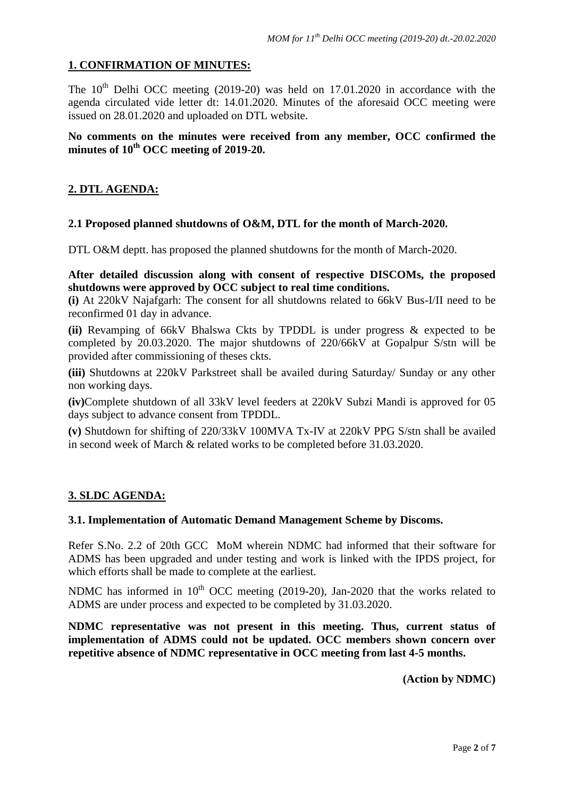#### **1. CONFIRMATION OF MINUTES:**

The  $10^{th}$  Delhi OCC meeting (2019-20) was held on 17.01.2020 in accordance with the agenda circulated vide letter dt: 14.01.2020. Minutes of the aforesaid OCC meeting were issued on 28.01.2020 and uploaded on DTL website.

#### **No comments on the minutes were received from any member, OCC confirmed the minutes of 10th OCC meeting of 2019-20.**

#### **2. DTL AGENDA:**

#### **2.1 Proposed planned shutdowns of O&M, DTL for the month of March-2020.**

DTL O&M deptt. has proposed the planned shutdowns for the month of March-2020.

#### **After detailed discussion along with consent of respective DISCOMs, the proposed shutdowns were approved by OCC subject to real time conditions.**

**(i)** At 220kV Najafgarh: The consent for all shutdowns related to 66kV Bus-I/II need to be reconfirmed 01 day in advance.

**(ii)** Revamping of 66kV Bhalswa Ckts by TPDDL is under progress & expected to be completed by 20.03.2020. The major shutdowns of 220/66kV at Gopalpur S/stn will be provided after commissioning of theses ckts.

**(iii)** Shutdowns at 220kV Parkstreet shall be availed during Saturday/ Sunday or any other non working days.

**(iv)**Complete shutdown of all 33kV level feeders at 220kV Subzi Mandi is approved for 05 days subject to advance consent from TPDDL.

**(v)** Shutdown for shifting of 220/33kV 100MVA Tx-IV at 220kV PPG S/stn shall be availed in second week of March & related works to be completed before 31.03.2020.

#### **3. SLDC AGENDA:**

#### **3.1. Implementation of Automatic Demand Management Scheme by Discoms.**

Refer S.No. 2.2 of 20th GCC MoM wherein NDMC had informed that their software for ADMS has been upgraded and under testing and work is linked with the IPDS project, for which efforts shall be made to complete at the earliest.

NDMC has informed in  $10^{th}$  OCC meeting (2019-20), Jan-2020 that the works related to ADMS are under process and expected to be completed by 31.03.2020.

**NDMC representative was not present in this meeting. Thus, current status of implementation of ADMS could not be updated. OCC members shown concern over repetitive absence of NDMC representative in OCC meeting from last 4-5 months.**

**(Action by NDMC)**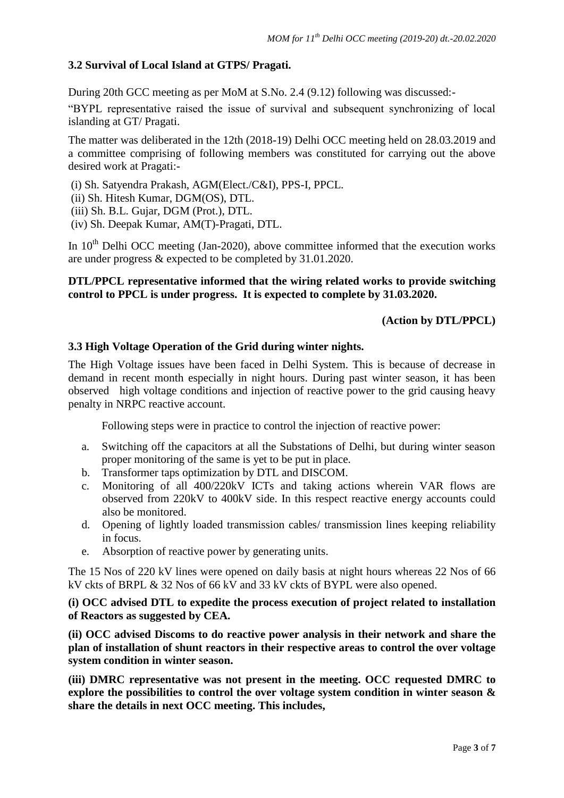#### **3.2 Survival of Local Island at GTPS/ Pragati.**

During 20th GCC meeting as per MoM at S.No. 2.4 (9.12) following was discussed:-

"BYPL representative raised the issue of survival and subsequent synchronizing of local islanding at GT/ Pragati.

The matter was deliberated in the 12th (2018-19) Delhi OCC meeting held on 28.03.2019 and a committee comprising of following members was constituted for carrying out the above desired work at Pragati:-

(i) Sh. Satyendra Prakash, AGM(Elect./C&I), PPS-I, PPCL.

(ii) Sh. Hitesh Kumar, DGM(OS), DTL.

(iii) Sh. B.L. Gujar, DGM (Prot.), DTL.

(iv) Sh. Deepak Kumar, AM(T)-Pragati, DTL.

In  $10^{th}$  Delhi OCC meeting (Jan-2020), above committee informed that the execution works are under progress & expected to be completed by 31.01.2020.

#### **DTL/PPCL representative informed that the wiring related works to provide switching control to PPCL is under progress. It is expected to complete by 31.03.2020.**

## **(Action by DTL/PPCL)**

#### **3.3 High Voltage Operation of the Grid during winter nights.**

The High Voltage issues have been faced in Delhi System. This is because of decrease in demand in recent month especially in night hours. During past winter season, it has been observed high voltage conditions and injection of reactive power to the grid causing heavy penalty in NRPC reactive account.

Following steps were in practice to control the injection of reactive power:

- a. Switching off the capacitors at all the Substations of Delhi, but during winter season proper monitoring of the same is yet to be put in place.
- b. Transformer taps optimization by DTL and DISCOM.
- c. Monitoring of all 400/220kV ICTs and taking actions wherein VAR flows are observed from 220kV to 400kV side. In this respect reactive energy accounts could also be monitored.
- d. Opening of lightly loaded transmission cables/ transmission lines keeping reliability in focus.
- e. Absorption of reactive power by generating units.

The 15 Nos of 220 kV lines were opened on daily basis at night hours whereas 22 Nos of 66 kV ckts of BRPL & 32 Nos of 66 kV and 33 kV ckts of BYPL were also opened.

**(i) OCC advised DTL to expedite the process execution of project related to installation of Reactors as suggested by CEA.** 

**(ii) OCC advised Discoms to do reactive power analysis in their network and share the plan of installation of shunt reactors in their respective areas to control the over voltage system condition in winter season.**

**(iii) DMRC representative was not present in the meeting. OCC requested DMRC to explore the possibilities to control the over voltage system condition in winter season & share the details in next OCC meeting. This includes,**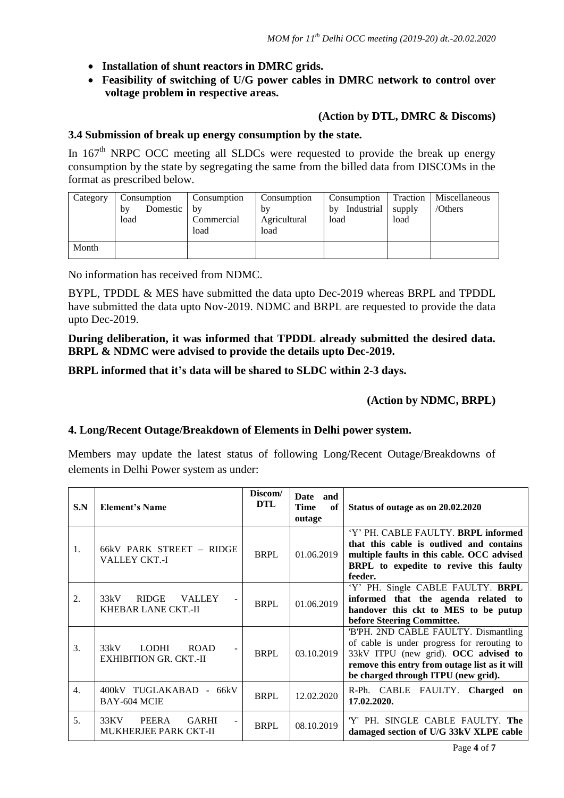- **Installation of shunt reactors in DMRC grids.**
- **Feasibility of switching of U/G power cables in DMRC network to control over voltage problem in respective areas.**

#### **(Action by DTL, DMRC & Discoms)**

#### **3.4 Submission of break up energy consumption by the state.**

In  $167<sup>th</sup>$  NRPC OCC meeting all SLDCs were requested to provide the break up energy consumption by the state by segregating the same from the billed data from DISCOMs in the format as prescribed below.

| Category | Consumption<br>Domestic<br>by<br>load | Consumption<br>by<br>Commercial<br>load | Consumption<br>by<br>Agricultural<br>load | Consumption<br>Industrial<br>by<br>load | Traction<br>supply<br>load | Miscellaneous<br>/Others |
|----------|---------------------------------------|-----------------------------------------|-------------------------------------------|-----------------------------------------|----------------------------|--------------------------|
| Month    |                                       |                                         |                                           |                                         |                            |                          |

No information has received from NDMC.

BYPL, TPDDL & MES have submitted the data upto Dec-2019 whereas BRPL and TPDDL have submitted the data upto Nov-2019. NDMC and BRPL are requested to provide the data upto Dec-2019.

**During deliberation, it was informed that TPDDL already submitted the desired data. BRPL & NDMC were advised to provide the details upto Dec-2019.**

#### **BRPL informed that it's data will be shared to SLDC within 2-3 days.**

#### **(Action by NDMC, BRPL)**

#### **4. Long/Recent Outage/Breakdown of Elements in Delhi power system.**

Members may update the latest status of following Long/Recent Outage/Breakdowns of elements in Delhi Power system as under:

| S.N              | <b>Element's Name</b>                                                | Discom/<br><b>DTL</b> | <b>Date</b><br>and<br><b>Time</b><br>of<br>outage | Status of outage as on 20.02.2020                                                                                                                                                                                   |
|------------------|----------------------------------------------------------------------|-----------------------|---------------------------------------------------|---------------------------------------------------------------------------------------------------------------------------------------------------------------------------------------------------------------------|
| 1.               | 66kV PARK STREET - RIDGE<br><b>VALLEY CKT.-I</b>                     | <b>BRPL</b>           | 01.06.2019                                        | 'Y' PH. CABLE FAULTY. BRPL informed<br>that this cable is outlived and contains<br>multiple faults in this cable. OCC advised<br>BRPL to expedite to revive this faulty<br>feeder.                                  |
| 2.               | 33kV<br><b>RIDGE</b><br><b>VALLEY</b><br><b>KHEBAR LANE CKT.-II</b>  | <b>BRPL</b>           | 01.06.2019                                        | 'Y' PH. Single CABLE FAULTY. BRPL<br>informed that the agenda related to<br>handover this ckt to MES to be putup<br>before Steering Committee.                                                                      |
| 3.               | <b>LODHI</b><br><b>ROAD</b><br>33kV<br><b>EXHIBITION GR. CKT.-II</b> | <b>BRPL</b>           | 03.10.2019                                        | 'B'PH. 2ND CABLE FAULTY. Dismantling<br>of cable is under progress for rerouting to<br>33kV ITPU (new grid). OCC advised to<br>remove this entry from outage list as it will<br>be charged through ITPU (new grid). |
| $\overline{4}$ . | 400kV TUGLAKABAD - 66kV<br>BAY-604 MCIE                              | <b>BRPL</b>           | 12.02.2020                                        | R-Ph. CABLE FAULTY. Charged<br>on<br>17.02.2020.                                                                                                                                                                    |
| 5.               | 33KV<br><b>PEERA</b><br><b>GARHI</b><br>MUKHERJEE PARK CKT-II        | <b>BRPL</b>           | 08.10.2019                                        | 'Y' PH. SINGLE CABLE FAULTY. The<br>damaged section of U/G 33kV XLPE cable                                                                                                                                          |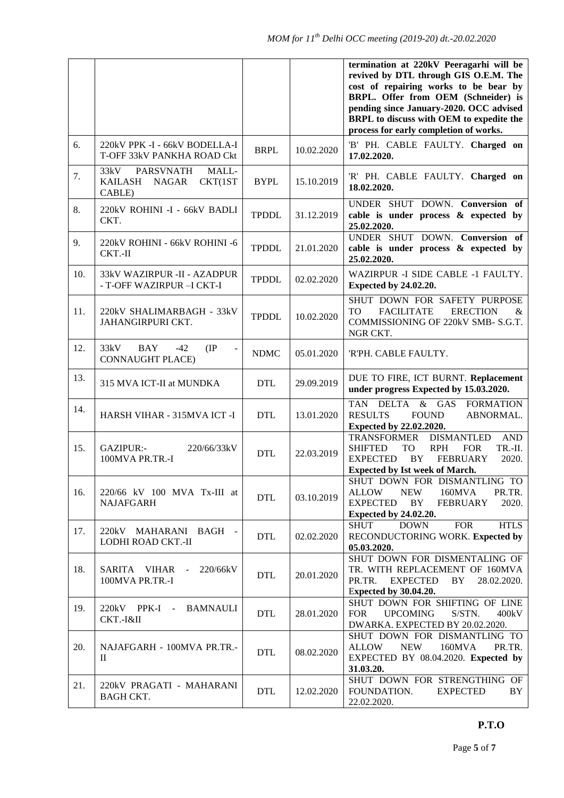|     |                                                                            |              |            | termination at 220kV Peeragarhi will be<br>revived by DTL through GIS O.E.M. The<br>cost of repairing works to be bear by<br>BRPL. Offer from OEM (Schneider) is<br>pending since January-2020. OCC advised<br>BRPL to discuss with OEM to expedite the<br>process for early completion of works. |
|-----|----------------------------------------------------------------------------|--------------|------------|---------------------------------------------------------------------------------------------------------------------------------------------------------------------------------------------------------------------------------------------------------------------------------------------------|
| 6.  | 220kV PPK -I - 66kV BODELLA-I<br>T-OFF 33kV PANKHA ROAD Ckt                | <b>BRPL</b>  | 10.02.2020 | 'B' PH. CABLE FAULTY. Charged on<br>17.02.2020.                                                                                                                                                                                                                                                   |
| 7.  | 33kV<br>PARSVNATH<br>MALL-<br><b>KAILASH</b><br>CKT(1ST<br>NAGAR<br>CABLE) | <b>BYPL</b>  | 15.10.2019 | 'R' PH. CABLE FAULTY. Charged on<br>18.02.2020.                                                                                                                                                                                                                                                   |
| 8.  | 220kV ROHINI -I - 66kV BADLI<br>CKT.                                       | <b>TPDDL</b> | 31.12.2019 | UNDER SHUT DOWN. Conversion of<br>cable is under process & expected by<br>25.02.2020.                                                                                                                                                                                                             |
| 9.  | 220kV ROHINI - 66kV ROHINI -6<br>CKT.-II                                   | <b>TPDDL</b> | 21.01.2020 | UNDER SHUT DOWN. Conversion of<br>cable is under process & expected by<br>25.02.2020.                                                                                                                                                                                                             |
| 10. | 33kV WAZIRPUR -II - AZADPUR<br>- T-OFF WAZIRPUR –I CKT-I                   | <b>TPDDL</b> | 02.02.2020 | WAZIRPUR -I SIDE CABLE -1 FAULTY.<br><b>Expected by 24.02.20.</b>                                                                                                                                                                                                                                 |
| 11. | 220kV SHALIMARBAGH - 33kV<br>JAHANGIRPURI CKT.                             | <b>TPDDL</b> | 10.02.2020 | SHUT DOWN FOR SAFETY PURPOSE<br><b>TO</b><br><b>FACILITATE</b><br><b>ERECTION</b><br>&<br>COMMISSIONING OF 220kV SMB- S.G.T.<br>NGR CKT.                                                                                                                                                          |
| 12. | 33kV<br><b>BAY</b><br>$-42$<br>$(\text{IP})$<br><b>CONNAUGHT PLACE)</b>    | <b>NDMC</b>  | 05.01.2020 | 'R'PH. CABLE FAULTY.                                                                                                                                                                                                                                                                              |
| 13. | 315 MVA ICT-II at MUNDKA                                                   | <b>DTL</b>   | 29.09.2019 | DUE TO FIRE, ICT BURNT. Replacement<br>under progress Expected by 15.03.2020.                                                                                                                                                                                                                     |
| 14. | HARSH VIHAR - 315MVA ICT -I                                                | <b>DTL</b>   | 13.01.2020 | $\&$<br><b>TAN</b><br><b>DELTA</b><br>GAS<br><b>FORMATION</b><br><b>RESULTS</b><br><b>FOUND</b><br>ABNORMAL.<br>Expected by 22.02.2020.                                                                                                                                                           |
| 15. | GAZIPUR:-<br>220/66/33kV<br>100MVA PR.TR.-I                                | <b>DTL</b>   | 22.03.2019 | <b>TRANSFORMER</b><br><b>DISMANTLED</b><br><b>AND</b><br><b>RPH</b><br>TR.-II.<br><b>SHIFTED</b><br><b>TO</b><br><b>FOR</b><br><b>EXPECTED</b><br>BY.<br><b>FEBRUARY</b><br>2020.<br>Expected by Ist week of March.                                                                               |
| 16. | 220/66 kV 100 MVA Tx-III at<br><b>NAJAFGARH</b>                            | <b>DTL</b>   | 03.10.2019 | SHUT DOWN FOR DISMANTLING TO<br>PR.TR.<br>ALLOW<br>NEW<br>160MVA<br>BY<br><b>EXPECTED</b><br><b>FEBRUARY</b><br>2020.<br><b>Expected by 24.02.20.</b>                                                                                                                                             |
| 17. | 220kV MAHARANI BAGH -<br>LODHI ROAD CKT.-II                                | <b>DTL</b>   | 02.02.2020 | <b>HTLS</b><br><b>DOWN</b><br><b>FOR</b><br><b>SHUT</b><br>RECONDUCTORING WORK. Expected by<br>05.03.2020.                                                                                                                                                                                        |
| 18. | SARITA VIHAR<br>220/66kV<br>$\sim$ $-$<br>100MVA PR.TR.-I                  | <b>DTL</b>   | 20.01.2020 | SHUT DOWN FOR DISMENTALING OF<br>TR. WITH REPLACEMENT OF 160MVA<br>PR.TR.<br><b>EXPECTED</b><br>BY<br>28.02.2020.<br>Expected by 30.04.20.                                                                                                                                                        |
| 19. | 220kV PPK-I - BAMNAULI<br>CKT.-I&II                                        | <b>DTL</b>   | 28.01.2020 | SHUT DOWN FOR SHIFTING OF LINE<br><b>FOR</b><br><b>UPCOMING</b><br>S/STN.<br>400kV<br>DWARKA. EXPECTED BY 20.02.2020.                                                                                                                                                                             |
| 20. | NAJAFGARH - 100MVA PR.TR.-<br>$\mathbf{H}$                                 | <b>DTL</b>   | 08.02.2020 | SHUT DOWN FOR DISMANTLING TO<br><b>ALLOW</b><br><b>NEW</b><br>160MVA<br>PR.TR.<br>EXPECTED BY 08.04.2020. Expected by<br>31.03.20.                                                                                                                                                                |
| 21. | 220kV PRAGATI - MAHARANI<br><b>BAGH CKT.</b>                               | <b>DTL</b>   | 12.02.2020 | SHUT DOWN FOR STRENGTHING OF<br>FOUNDATION.<br><b>EXPECTED</b><br>BY<br>22.02.2020.                                                                                                                                                                                                               |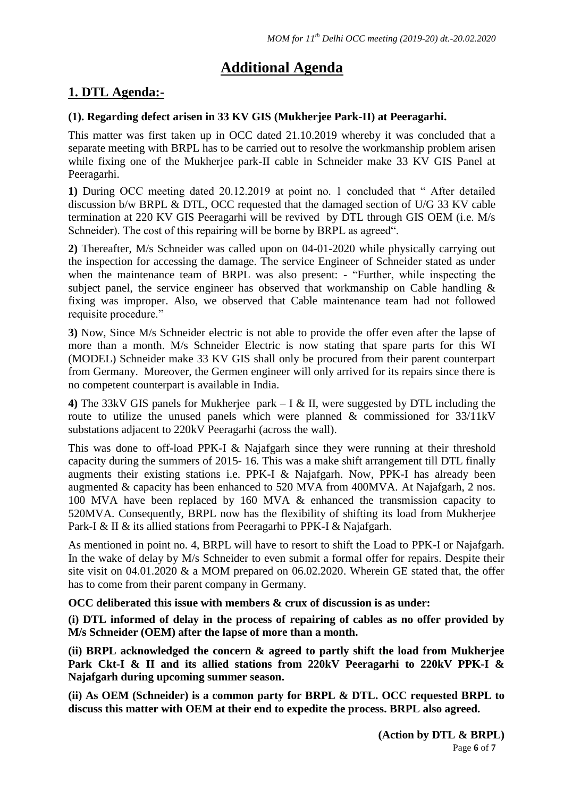# **Additional Agenda**

# **1. DTL Agenda:-**

### **(1). Regarding defect arisen in 33 KV GIS (Mukherjee Park-II) at Peeragarhi.**

This matter was first taken up in OCC dated 21.10.2019 whereby it was concluded that a separate meeting with BRPL has to be carried out to resolve the workmanship problem arisen while fixing one of the Mukherjee park-II cable in Schneider make 33 KV GIS Panel at Peeragarhi.

**1)** During OCC meeting dated 20.12.2019 at point no. 1 concluded that " After detailed discussion b/w BRPL & DTL, OCC requested that the damaged section of U/G 33 KV cable termination at 220 KV GIS Peeragarhi will be revived by DTL through GIS OEM (i.e. M/s Schneider). The cost of this repairing will be borne by BRPL as agreed".

**2)** Thereafter, M/s Schneider was called upon on 04-01-2020 while physically carrying out the inspection for accessing the damage. The service Engineer of Schneider stated as under when the maintenance team of BRPL was also present: - "Further, while inspecting the subject panel, the service engineer has observed that workmanship on Cable handling & fixing was improper. Also, we observed that Cable maintenance team had not followed requisite procedure."

**3)** Now, Since M/s Schneider electric is not able to provide the offer even after the lapse of more than a month. M/s Schneider Electric is now stating that spare parts for this WI (MODEL) Schneider make 33 KV GIS shall only be procured from their parent counterpart from Germany. Moreover, the Germen engineer will only arrived for its repairs since there is no competent counterpart is available in India.

**4)** The 33kV GIS panels for Mukherjee park – I & II, were suggested by DTL including the route to utilize the unused panels which were planned & commissioned for 33/11kV substations adjacent to 220kV Peeragarhi (across the wall).

This was done to off-load PPK-I & Najafgarh since they were running at their threshold capacity during the summers of 2015- 16. This was a make shift arrangement till DTL finally augments their existing stations i.e. PPK-I & Najafgarh. Now, PPK-I has already been augmented & capacity has been enhanced to 520 MVA from 400MVA. At Najafgarh, 2 nos. 100 MVA have been replaced by 160 MVA & enhanced the transmission capacity to 520MVA. Consequently, BRPL now has the flexibility of shifting its load from Mukherjee Park-I & II & its allied stations from Peeragarhi to PPK-I & Najafgarh.

As mentioned in point no. 4, BRPL will have to resort to shift the Load to PPK-I or Najafgarh. In the wake of delay by M/s Schneider to even submit a formal offer for repairs. Despite their site visit on 04.01.2020 & a MOM prepared on 06.02.2020. Wherein GE stated that, the offer has to come from their parent company in Germany.

**OCC deliberated this issue with members & crux of discussion is as under:**

**(i) DTL informed of delay in the process of repairing of cables as no offer provided by M/s Schneider (OEM) after the lapse of more than a month.**

**(ii) BRPL acknowledged the concern & agreed to partly shift the load from Mukherjee Park Ckt-I & II and its allied stations from 220kV Peeragarhi to 220kV PPK-I & Najafgarh during upcoming summer season.** 

**(ii) As OEM (Schneider) is a common party for BRPL & DTL. OCC requested BRPL to discuss this matter with OEM at their end to expedite the process. BRPL also agreed.**